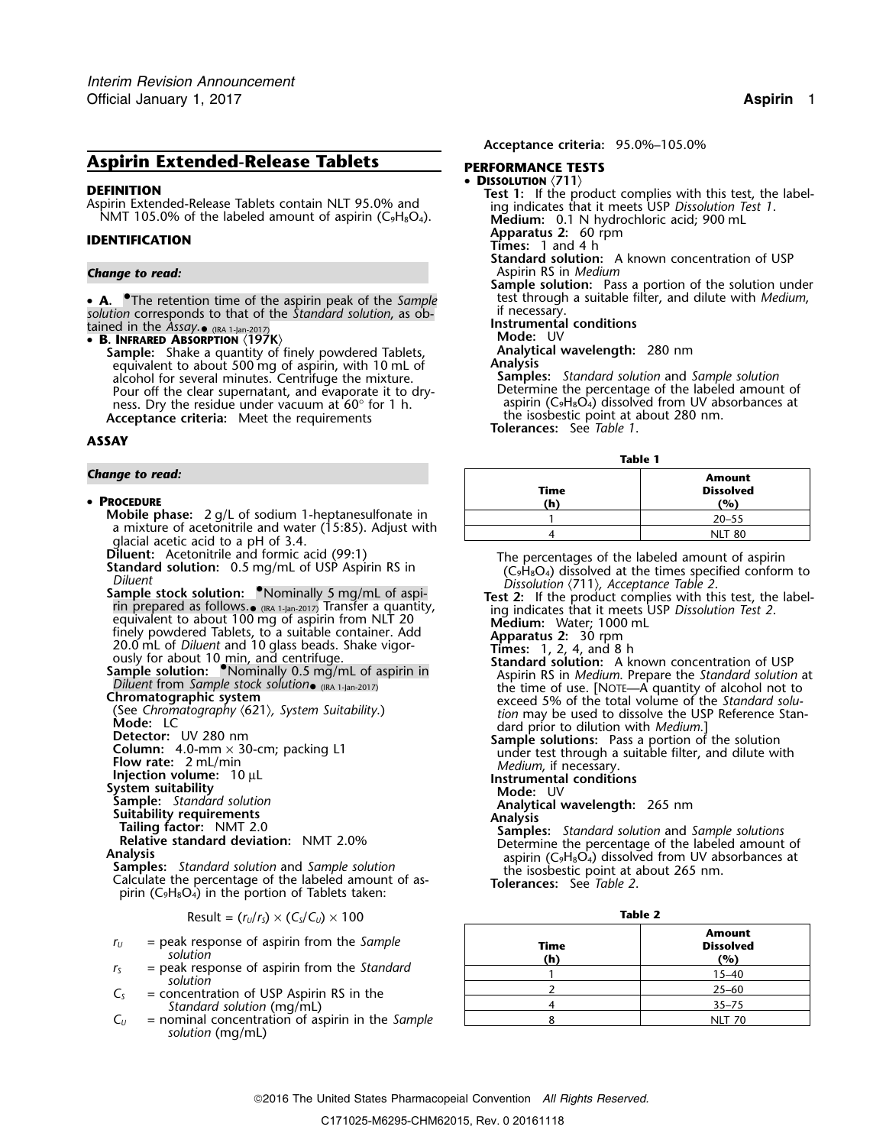# **Aspirin Extended-Release Tablets PERFORMANCE TESTS**

• A. The retention time of the aspirin peak of the Sample • **A.** • The retention time of the aspirin peak of the *Sample* test through a suitable filter, and dilute with *Medium*, solution corresponds to that of the *Standard solution*, as ob-<br>tained in the *Assay*. **(RA 1-Jan-2** 

**Sample:** Shake a quantity of finely powdered Tablets, **Analytical wavelength:** 280 nm<br>equivalent to about 500 mg of aspirin with 10 ml of **Analysis** equivalent to about 500 mg of aspirin, with 10 mL of **Analysis**<br>alcohol for several minutes. Centrifuge the mixture. **Samples:** Standard solution and Sample solution alcohol for several minutes. Centrifuge the mixture. **Samples:** *Standard solution* and *Sample solution* Pour off the clear supernatant, and evaporate it to dry-<br>ness. Dry the residue under vacuum at 60° for 1 h. aspirin  $(C_9H_8O_4)$  dissolved from UV absorbances at ness. Dry the residue under vacuum at 60° for 1 h.  $\sim$  aspirin (C<sub>9</sub>H<sub>8</sub>O<sub>4</sub>) dissolved from UV absorbance criteria: Meet the requirements **Acceptance criteria:** Meet the requirements **The isospestic point at a**<br>1. Tolerances: See *Table 1* 

## **ASSAY**

### **Change to read:**

### • PROCEDURE

- **Mobile phase:** 2 g/L of sodium 1-heptanesulfonate in a mixture of acetonitrile and water (15:85). Adjust with glacial acetic acid to a pH of 3.4.<br>**Diluent:** Acetonitrile and formic acid (99:1)
- 
- 

- 
- 
- 
- 
- 
- 
- 
- 
- 
- Calculate the percentage of the labeled amount of aspirin (C<sub>9</sub>H<sub>8</sub>O<sub>4</sub>) in the portion of Tablets taken:

$$
Result = (r_U/r_S) \times (C_S/C_U) \times 100
$$
 **Table 2**

- $r_U$  = peak response of aspirin from the Sample<br>  $r_S$  = peak response of aspirin from the Standard<br>
solution
- 
- $C<sub>S</sub>$  = concentration of USP Aspirin RS in the *Standard solution* (mg/mL)
- $C_U$  = nominal concentration of aspirin in the *Sample solution* (mg/mL)

**Acceptance criteria:** 95.0%–105.0%

•

- 
- **DISSOLUTION**<br>Aspirin Extended-Release Tablets contain NLT 95.0% and<br>NMT 105.0% of the labeled amount of aspirin (C<sub>9</sub>H<sub>8</sub>O<sub>4</sub>).<br>NMT 105.0% of the labeled amount of aspirin (C<sub>9</sub>H<sub>8</sub>O<sub>4</sub>).<br>Medium: 0.1 N hydrochloric acid;
- **Apparatus 2:** 60 rpm **IDENTIFICATION Times:** 1 and 4 h
	-
- **Standard solution:** A known concentration of USP *Change to read:* Aspirin RS in *Medium*
	- **Sample solution:** Pass a portion of the solution under test through a suitable filter, and dilute with *Medium*,
	-
	-

- 
- 

**Table 1**

|                                                              | таріе Т |                  |
|--------------------------------------------------------------|---------|------------------|
| Change to read:                                              |         | Amount           |
|                                                              | Time    | <b>Dissolved</b> |
| • Procedure                                                  | (h)     | (%)              |
| <b>Mobile phase:</b> $2 q/L$ of sodium 1-heptanesulfonate in |         | $20 - 55$        |
| a mixture of acetonitrile and water (15:85). Adjust with     |         | NIT 80           |

**Standard solution:** 0.5 mg/mL of USP Aspirin RS in<br>
Diluent<br>
Standard solution: 0.5 mg/mL of USP Aspirin RS in<br>
Diluent<br>
Sample stock solution: Nominally 5 mg/mL of aspi-<br>
The percentages of the labeled amount of aspirin<br>

- equivalent to about 100 mg of aspirin from NLI 20<br>
finely powdered Tablets, to a suitable container. Add<br>
20.0 mL<br>
20.0 mL of Diluent and 10 glass beads. Shake vigor-<br>
ously for about 10 min, and centrifuge.<br>
Sample soluti
	-
	-
	-

- Different trom Sample socks solutions (Section and Samples and Samples of the time of use (Normatography (621), System Suitability.) exceed 5% of the total volume of the Strandard solution (See Chromatography (621), System
	-

|--|--|

| Time<br>(h) | <b>Amount</b><br><b>Dissolved</b><br>(%) |
|-------------|------------------------------------------|
|             | $15 - 40$                                |
|             | $25 - 60$                                |
|             | $35 - 75$                                |
|             | <b>NLT 70</b>                            |